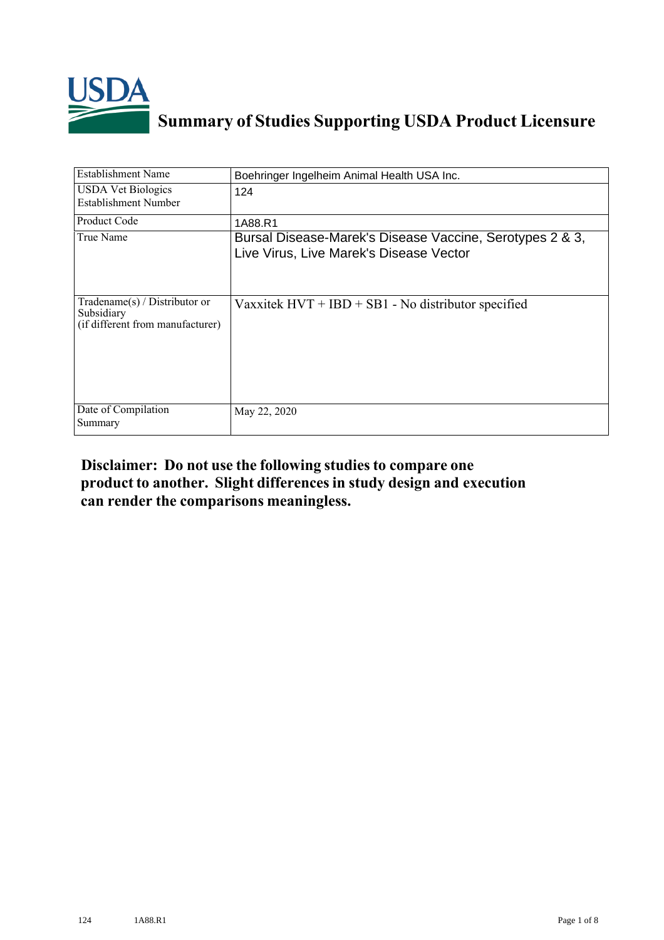

## **Summary of Studies Supporting USDA Product Licensure**

| <b>Establishment Name</b>                                                       | Boehringer Ingelheim Animal Health USA Inc.                                                         |
|---------------------------------------------------------------------------------|-----------------------------------------------------------------------------------------------------|
| <b>USDA Vet Biologics</b><br>Establishment Number                               | 124                                                                                                 |
| Product Code                                                                    | 1A88.R1                                                                                             |
| True Name                                                                       | Bursal Disease-Marek's Disease Vaccine, Serotypes 2 & 3,<br>Live Virus, Live Marek's Disease Vector |
| Tradename(s) / Distributor or<br>Subsidiary<br>(if different from manufacturer) | Vaxxitek $HVT + IBD + SB1 - No$ distributor specified                                               |
| Date of Compilation<br>Summary                                                  | May 22, 2020                                                                                        |

## **Disclaimer: Do not use the following studiesto compare one product to another. Slight differencesin study design and execution can render the comparisons meaningless.**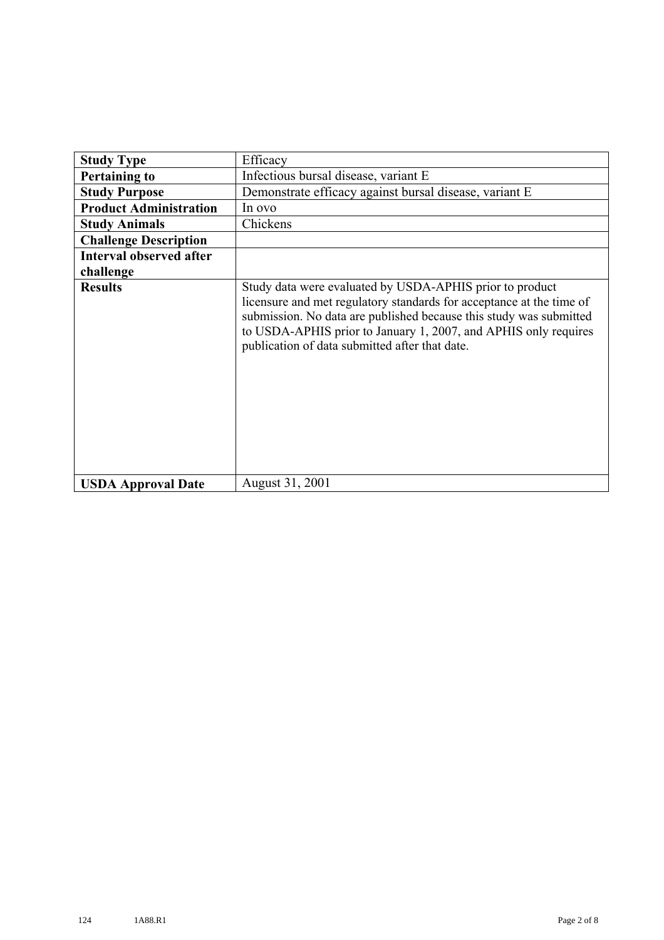| <b>Study Type</b>              | Efficacy                                                                                                                                                                                                                                                                                                                    |
|--------------------------------|-----------------------------------------------------------------------------------------------------------------------------------------------------------------------------------------------------------------------------------------------------------------------------------------------------------------------------|
| <b>Pertaining to</b>           | Infectious bursal disease, variant E                                                                                                                                                                                                                                                                                        |
| <b>Study Purpose</b>           | Demonstrate efficacy against bursal disease, variant E                                                                                                                                                                                                                                                                      |
| <b>Product Administration</b>  | In ovo                                                                                                                                                                                                                                                                                                                      |
| <b>Study Animals</b>           | Chickens                                                                                                                                                                                                                                                                                                                    |
| <b>Challenge Description</b>   |                                                                                                                                                                                                                                                                                                                             |
| <b>Interval observed after</b> |                                                                                                                                                                                                                                                                                                                             |
| challenge                      |                                                                                                                                                                                                                                                                                                                             |
| <b>Results</b>                 | Study data were evaluated by USDA-APHIS prior to product<br>licensure and met regulatory standards for acceptance at the time of<br>submission. No data are published because this study was submitted<br>to USDA-APHIS prior to January 1, 2007, and APHIS only requires<br>publication of data submitted after that date. |
| <b>USDA Approval Date</b>      | August 31, 2001                                                                                                                                                                                                                                                                                                             |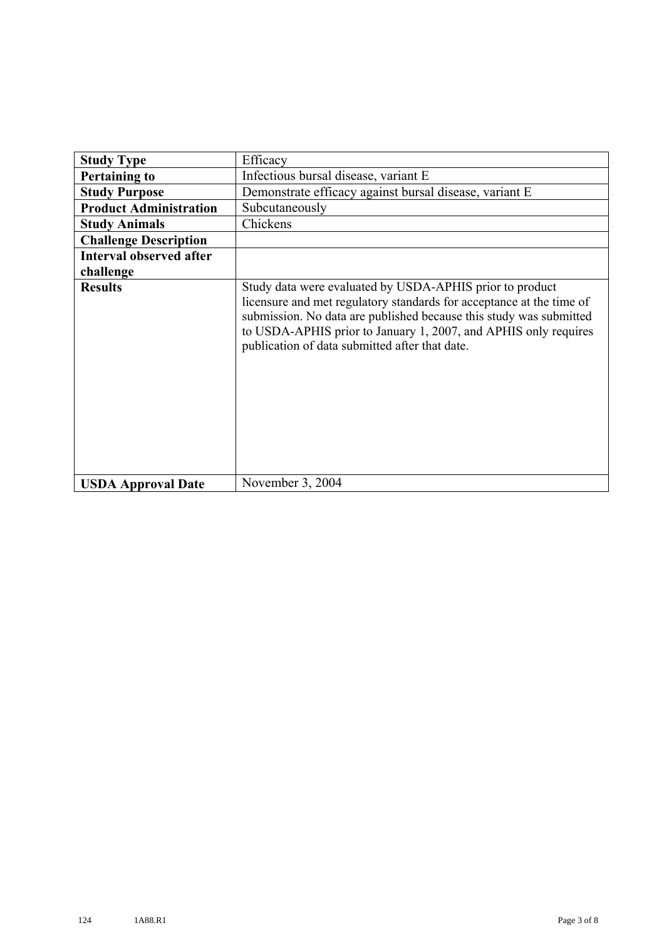| <b>Study Type</b>              | Efficacy                                                                                                                                                                                                                                                                                                                    |
|--------------------------------|-----------------------------------------------------------------------------------------------------------------------------------------------------------------------------------------------------------------------------------------------------------------------------------------------------------------------------|
| <b>Pertaining to</b>           | Infectious bursal disease, variant E                                                                                                                                                                                                                                                                                        |
| <b>Study Purpose</b>           | Demonstrate efficacy against bursal disease, variant E                                                                                                                                                                                                                                                                      |
| <b>Product Administration</b>  | Subcutaneously                                                                                                                                                                                                                                                                                                              |
| <b>Study Animals</b>           | Chickens                                                                                                                                                                                                                                                                                                                    |
| <b>Challenge Description</b>   |                                                                                                                                                                                                                                                                                                                             |
| <b>Interval observed after</b> |                                                                                                                                                                                                                                                                                                                             |
| challenge                      |                                                                                                                                                                                                                                                                                                                             |
| <b>Results</b>                 | Study data were evaluated by USDA-APHIS prior to product<br>licensure and met regulatory standards for acceptance at the time of<br>submission. No data are published because this study was submitted<br>to USDA-APHIS prior to January 1, 2007, and APHIS only requires<br>publication of data submitted after that date. |
| <b>USDA Approval Date</b>      | November 3, 2004                                                                                                                                                                                                                                                                                                            |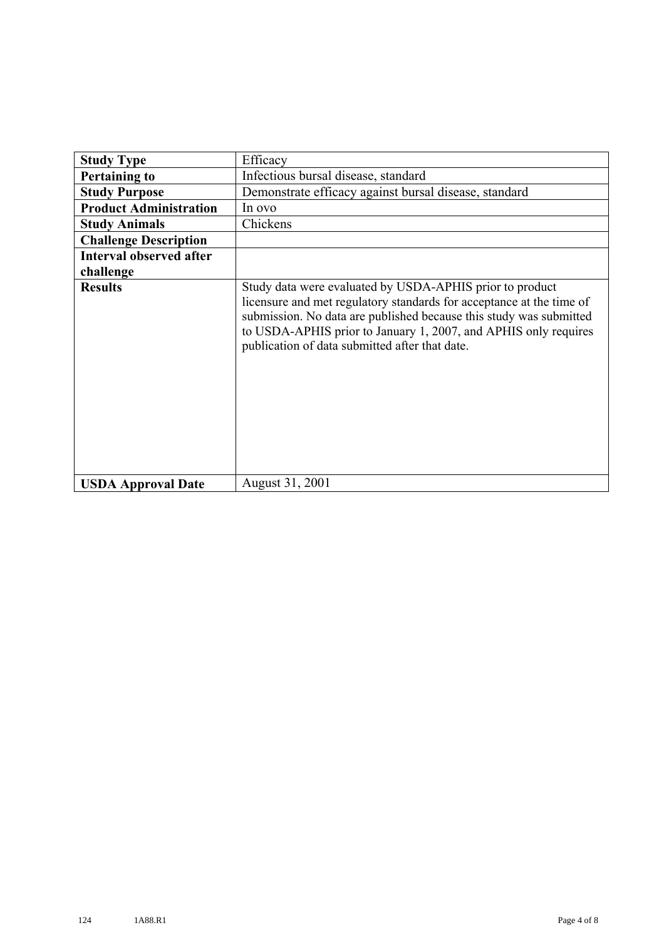| <b>Study Type</b>              | Efficacy                                                                                                                                                                                                                                                                                                                    |
|--------------------------------|-----------------------------------------------------------------------------------------------------------------------------------------------------------------------------------------------------------------------------------------------------------------------------------------------------------------------------|
| <b>Pertaining to</b>           | Infectious bursal disease, standard                                                                                                                                                                                                                                                                                         |
| <b>Study Purpose</b>           | Demonstrate efficacy against bursal disease, standard                                                                                                                                                                                                                                                                       |
| <b>Product Administration</b>  | In ovo                                                                                                                                                                                                                                                                                                                      |
| <b>Study Animals</b>           | Chickens                                                                                                                                                                                                                                                                                                                    |
| <b>Challenge Description</b>   |                                                                                                                                                                                                                                                                                                                             |
| <b>Interval observed after</b> |                                                                                                                                                                                                                                                                                                                             |
| challenge                      |                                                                                                                                                                                                                                                                                                                             |
| <b>Results</b>                 | Study data were evaluated by USDA-APHIS prior to product<br>licensure and met regulatory standards for acceptance at the time of<br>submission. No data are published because this study was submitted<br>to USDA-APHIS prior to January 1, 2007, and APHIS only requires<br>publication of data submitted after that date. |
| <b>USDA Approval Date</b>      | August 31, 2001                                                                                                                                                                                                                                                                                                             |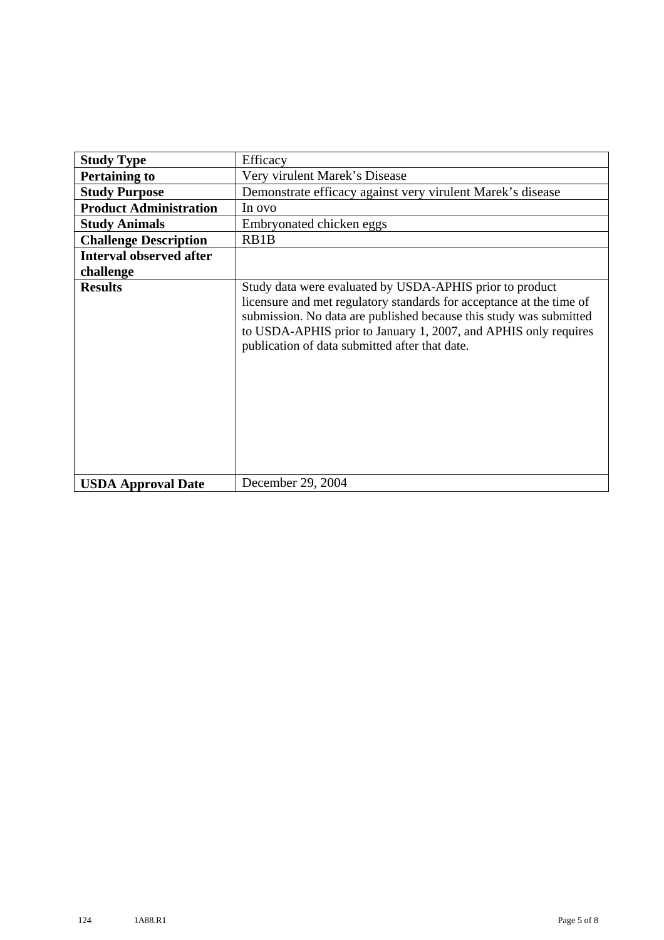| <b>Study Type</b>              | Efficacy                                                                                                                                                                                                                                                                                                                    |
|--------------------------------|-----------------------------------------------------------------------------------------------------------------------------------------------------------------------------------------------------------------------------------------------------------------------------------------------------------------------------|
| <b>Pertaining to</b>           | Very virulent Marek's Disease                                                                                                                                                                                                                                                                                               |
| <b>Study Purpose</b>           | Demonstrate efficacy against very virulent Marek's disease                                                                                                                                                                                                                                                                  |
| <b>Product Administration</b>  | In ovo                                                                                                                                                                                                                                                                                                                      |
| <b>Study Animals</b>           | Embryonated chicken eggs                                                                                                                                                                                                                                                                                                    |
| <b>Challenge Description</b>   | RB1B                                                                                                                                                                                                                                                                                                                        |
| <b>Interval observed after</b> |                                                                                                                                                                                                                                                                                                                             |
| challenge                      |                                                                                                                                                                                                                                                                                                                             |
| <b>Results</b>                 | Study data were evaluated by USDA-APHIS prior to product<br>licensure and met regulatory standards for acceptance at the time of<br>submission. No data are published because this study was submitted<br>to USDA-APHIS prior to January 1, 2007, and APHIS only requires<br>publication of data submitted after that date. |
| <b>USDA Approval Date</b>      | December 29, 2004                                                                                                                                                                                                                                                                                                           |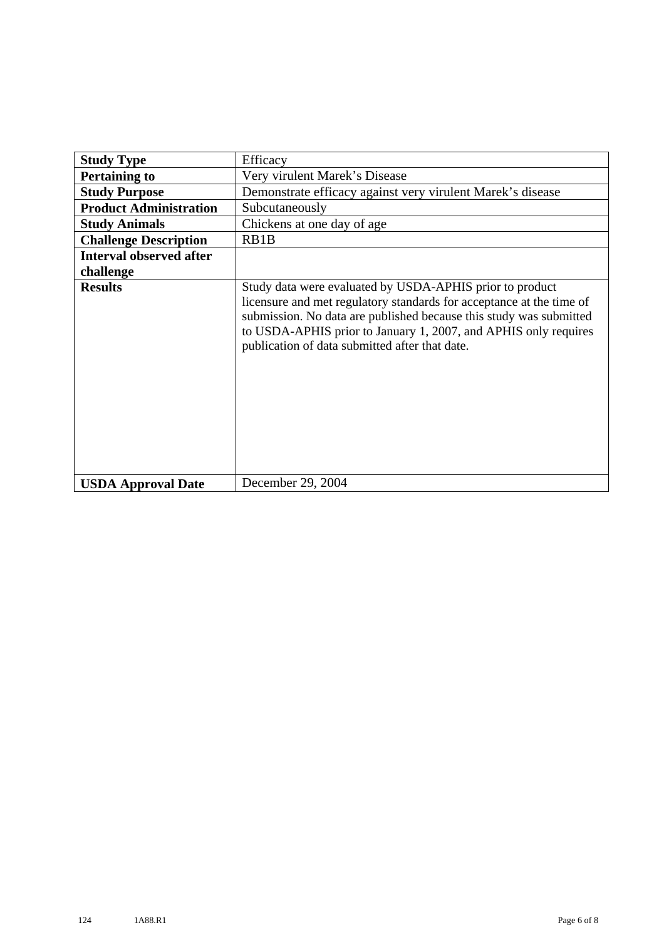| <b>Study Type</b>              | Efficacy                                                                                                                                                                                                                                                                                                                    |
|--------------------------------|-----------------------------------------------------------------------------------------------------------------------------------------------------------------------------------------------------------------------------------------------------------------------------------------------------------------------------|
| <b>Pertaining to</b>           | Very virulent Marek's Disease                                                                                                                                                                                                                                                                                               |
| <b>Study Purpose</b>           | Demonstrate efficacy against very virulent Marek's disease                                                                                                                                                                                                                                                                  |
| <b>Product Administration</b>  | Subcutaneously                                                                                                                                                                                                                                                                                                              |
| <b>Study Animals</b>           | Chickens at one day of age                                                                                                                                                                                                                                                                                                  |
| <b>Challenge Description</b>   | RB1B                                                                                                                                                                                                                                                                                                                        |
| <b>Interval observed after</b> |                                                                                                                                                                                                                                                                                                                             |
| challenge                      |                                                                                                                                                                                                                                                                                                                             |
| <b>Results</b>                 | Study data were evaluated by USDA-APHIS prior to product<br>licensure and met regulatory standards for acceptance at the time of<br>submission. No data are published because this study was submitted<br>to USDA-APHIS prior to January 1, 2007, and APHIS only requires<br>publication of data submitted after that date. |
| <b>USDA Approval Date</b>      | December 29, 2004                                                                                                                                                                                                                                                                                                           |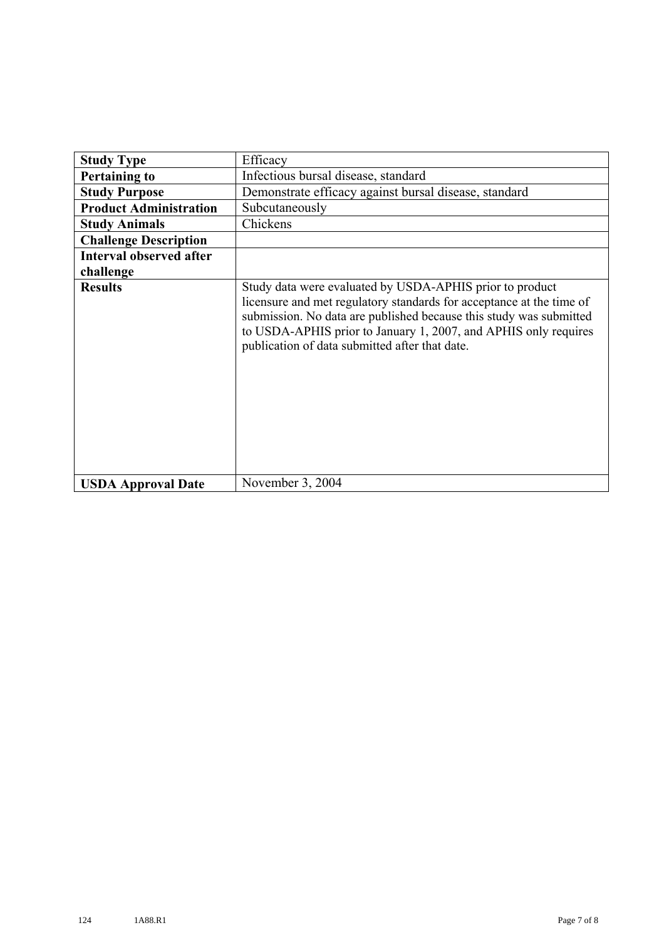| <b>Study Type</b>              | Efficacy                                                                                                                                                                                                                                                                                                                    |
|--------------------------------|-----------------------------------------------------------------------------------------------------------------------------------------------------------------------------------------------------------------------------------------------------------------------------------------------------------------------------|
| <b>Pertaining to</b>           | Infectious bursal disease, standard                                                                                                                                                                                                                                                                                         |
| <b>Study Purpose</b>           | Demonstrate efficacy against bursal disease, standard                                                                                                                                                                                                                                                                       |
|                                |                                                                                                                                                                                                                                                                                                                             |
| <b>Product Administration</b>  | Subcutaneously                                                                                                                                                                                                                                                                                                              |
| <b>Study Animals</b>           | Chickens                                                                                                                                                                                                                                                                                                                    |
| <b>Challenge Description</b>   |                                                                                                                                                                                                                                                                                                                             |
| <b>Interval observed after</b> |                                                                                                                                                                                                                                                                                                                             |
| challenge                      |                                                                                                                                                                                                                                                                                                                             |
| <b>Results</b>                 | Study data were evaluated by USDA-APHIS prior to product<br>licensure and met regulatory standards for acceptance at the time of<br>submission. No data are published because this study was submitted<br>to USDA-APHIS prior to January 1, 2007, and APHIS only requires<br>publication of data submitted after that date. |
| <b>USDA Approval Date</b>      | November 3, 2004                                                                                                                                                                                                                                                                                                            |